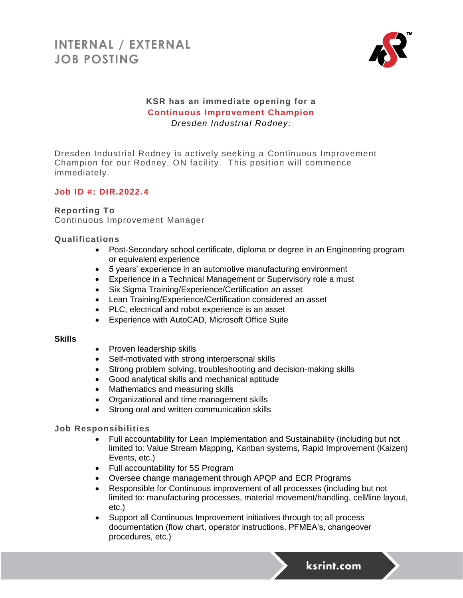

## **KSR has an immediate opening for a Continuous Improvement Champion** *Dresden Industrial Rodney:*

Dresden Industrial Rodney is actively seeking a Continuous Improvement Champion for our Rodney, ON facility. This position will commence immediately.

### **Job ID #: DIR.2022.4**

### **Reporting To**

Continuous Improvement Manager

### **Qualifications**

- Post-Secondary school certificate, diploma or degree in an Engineering program or equivalent experience
- 5 years' experience in an automotive manufacturing environment
- Experience in a Technical Management or Supervisory role a must
- Six Sigma Training/Experience/Certification an asset
- Lean Training/Experience/Certification considered an asset
- PLC, electrical and robot experience is an asset
- Experience with AutoCAD, Microsoft Office Suite

### **Skills**

- Proven leadership skills
- Self-motivated with strong interpersonal skills
- Strong problem solving, troubleshooting and decision-making skills
- Good analytical skills and mechanical aptitude
- Mathematics and measuring skills
- Organizational and time management skills
- Strong oral and written communication skills

### **Job Responsibilities**

- Full accountability for Lean Implementation and Sustainability (including but not limited to: Value Stream Mapping, Kanban systems, Rapid Improvement (Kaizen) Events, etc.)
- Full accountability for 5S Program
- Oversee change management through APQP and ECR Programs
- Responsible for Continuous improvement of all processes (including but not limited to: manufacturing processes, material movement/handling, cell/line layout, etc.)
- Support all Continuous Improvement initiatives through to; all process documentation (flow chart, operator instructions, PFMEA's, changeover procedures, etc.)

ksrint.com